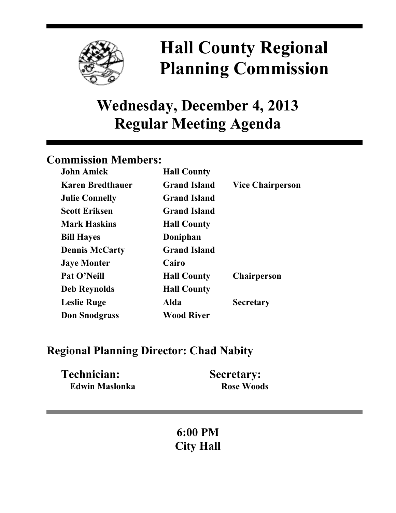

# **Hall County Regional Planning Commission**

## **Wednesday, December 4, 2013 Regular Meeting Agenda**

## **Commission Members:**

| <b>John Amick</b>       | <b>Hall County</b>  |                         |
|-------------------------|---------------------|-------------------------|
| <b>Karen Bredthauer</b> | <b>Grand Island</b> | <b>Vice Chairperson</b> |
| <b>Julie Connelly</b>   | <b>Grand Island</b> |                         |
| <b>Scott Eriksen</b>    | <b>Grand Island</b> |                         |
| <b>Mark Haskins</b>     | <b>Hall County</b>  |                         |
| <b>Bill Hayes</b>       | Doniphan            |                         |
| <b>Dennis McCarty</b>   | <b>Grand Island</b> |                         |
| <b>Jaye Monter</b>      | Cairo               |                         |
| Pat O'Neill             | <b>Hall County</b>  | <b>Chairperson</b>      |
| <b>Deb Reynolds</b>     | <b>Hall County</b>  |                         |
| <b>Leslie Ruge</b>      | Alda                | <b>Secretary</b>        |
| <b>Don Snodgrass</b>    | <b>Wood River</b>   |                         |

### **Regional Planning Director: Chad Nabity**

| Technician:    | <b>Secretary:</b> |
|----------------|-------------------|
| Edwin Maslonka | <b>Rose Woods</b> |

## **6:00 PM City Hall**